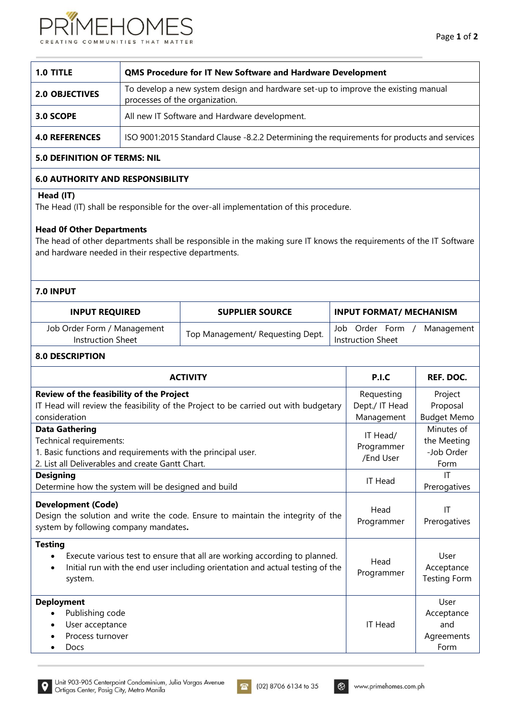

| 1.0 TITLE             | <b>QMS Procedure for IT New Software and Hardware Development</b>                                                   |  |  |  |  |  |
|-----------------------|---------------------------------------------------------------------------------------------------------------------|--|--|--|--|--|
| <b>2.0 OBJECTIVES</b> | To develop a new system design and hardware set-up to improve the existing manual<br>processes of the organization. |  |  |  |  |  |
| 3.0 SCOPE             | All new IT Software and Hardware development.                                                                       |  |  |  |  |  |
| <b>4.0 REFERENCES</b> | ISO 9001:2015 Standard Clause -8.2.2 Determining the requirements for products and services                         |  |  |  |  |  |

# **5.0 DEFINITION OF TERMS: NIL**

## **6.0 AUTHORITY AND RESPONSIBILITY**

# **Head (IT)**

The Head (IT) shall be responsible for the over-all implementation of this procedure.

#### **Head 0f Other Departments**

The head of other departments shall be responsible in the making sure IT knows the requirements of the IT Software and hardware needed in their respective departments.

### **7.0 INPUT**

| <b>INPUT REQUIRED</b>                            | <b>SUPPLIER SOURCE</b>           | <b>INPUT FORMAT/ MECHANISM</b>                           |
|--------------------------------------------------|----------------------------------|----------------------------------------------------------|
| Job Order Form / Management<br>Instruction Sheet | Top Management/ Requesting Dept. | Order<br>Form<br>Management<br>Job.<br>Instruction Sheet |

## **8.0 DESCRIPTION**

| <b>ACTIVITY</b>                                                                                                                                                                                                   | P.I.C                                      | REF. DOC.                                       |
|-------------------------------------------------------------------------------------------------------------------------------------------------------------------------------------------------------------------|--------------------------------------------|-------------------------------------------------|
| Review of the feasibility of the Project<br>IT Head will review the feasibility of the Project to be carried out with budgetary<br>consideration                                                                  | Requesting<br>Dept./ IT Head<br>Management | Project<br>Proposal<br><b>Budget Memo</b>       |
| <b>Data Gathering</b><br>Technical requirements:<br>1. Basic functions and requirements with the principal user.<br>2. List all Deliverables and create Gantt Chart.                                              | IT Head/<br>Programmer<br>/End User        | Minutes of<br>the Meeting<br>-Job Order<br>Form |
| <b>Designing</b><br>Determine how the system will be designed and build                                                                                                                                           | <b>IT Head</b>                             | IT<br>Prerogatives                              |
| <b>Development (Code)</b><br>Design the solution and write the code. Ensure to maintain the integrity of the<br>system by following company mandates.                                                             | Head<br>Programmer                         | IT<br>Prerogatives                              |
| <b>Testing</b><br>Execute various test to ensure that all are working according to planned.<br>$\bullet$<br>Initial run with the end user including orientation and actual testing of the<br>$\bullet$<br>system. | Head<br>Programmer                         | User<br>Acceptance<br><b>Testing Form</b>       |
| <b>Deployment</b><br>Publishing code<br>User acceptance<br>$\bullet$<br>Process turnover<br><b>Docs</b><br>٠                                                                                                      | <b>IT Head</b>                             | User<br>Acceptance<br>and<br>Agreements<br>Form |